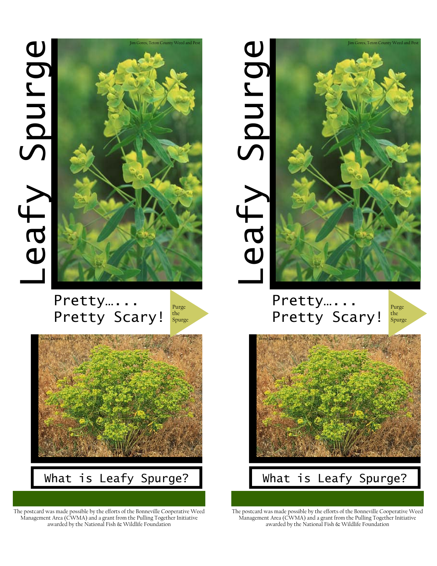# Leafy Spurge Leafy Spurge



# Pretty…... Pretty Scary!





The postcard was made possible by the efforts of the Bonneville Cooperative Weed Management Area (CWMA) and a grant from the Pulling Together Initiative awarded by the National Fish & Wildlife Foundation



## Pretty…... Pretty Scary!

Purge the Spurge



The postcard was made possible by the efforts of the Bonneville Cooperative Weed Management Area (CWMA) and a grant from the Pulling Together Initiative awarded by the National Fish & Wildlife Foundation